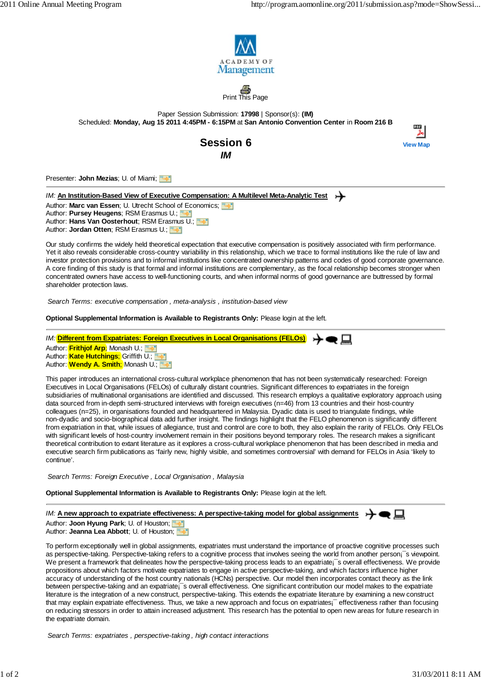**View Map**

por



 $\overline{\mathsf{nis}}$  Page

Paper Session Submission: **17998** | Sponsor(s): **(IM)** Scheduled: **Monday, Aug 15 2011 4:45PM - 6:15PM** at **San Antonio Convention Center** in **Room 216 B**



Presenter: **John Mezias**; U. of Miami;

## *IM:* An Institution-Based View of Executive Compensation: A Multilevel Meta-Analytic Test

Author: Marc van Essen; U. Utrecht School of Economics; **WAD** Author: **Pursey Heugens**; RSM Erasmus U.; Author: **Hans Van Oosterhout**; RSM Erasmus U.; Author: **Jordan Otten**; RSM Erasmus U.;

Our study confirms the widely held theoretical expectation that executive compensation is positively associated with firm performance. Yet it also reveals considerable cross-country variability in this relationship, which we trace to formal institutions like the rule of law and investor protection provisions and to informal institutions like concentrated ownership patterns and codes of good corporate governance. A core finding of this study is that formal and informal institutions are complementary, as the focal relationship becomes stronger when concentrated owners have access to well-functioning courts, and when informal norms of good governance are buttressed by formal shareholder protection laws.

*Search Terms: executive compensation , meta-analysis , institution-based view*

**Optional Supplemental Information is Available to Registrants Only:** Please login at the left.

*IM:* **Different from Expatriates: Foreign Executives in Local Organisations (FELOs)** Author: **Frithjof Arp**; Monash U.; Author: **Kate Hutchings**; Griffith U.; Author: **Wendy A. Smith**; Monash U.; **William** 

This paper introduces an international cross-cultural workplace phenomenon that has not been systematically researched: Foreign Executives in Local Organisations (FELOs) of culturally distant countries. Significant differences to expatriates in the foreign subsidiaries of multinational organisations are identified and discussed. This research employs a qualitative exploratory approach using data sourced from in-depth semi-structured interviews with foreign executives (n=46) from 13 countries and their host-country colleagues (n=25), in organisations founded and headquartered in Malaysia. Dyadic data is used to triangulate findings, while non-dyadic and socio-biographical data add further insight. The findings highlight that the FELO phenomenon is significantly different from expatriation in that, while issues of allegiance, trust and control are core to both, they also explain the rarity of FELOs. Only FELOs with significant levels of host-country involvement remain in their positions beyond temporary roles. The research makes a significant theoretical contribution to extant literature as it explores a cross-cultural workplace phenomenon that has been described in media and executive search firm publications as 'fairly new, highly visible, and sometimes controversial' with demand for FELOs in Asia 'likely to continue'.

*Search Terms: Foreign Executive , Local Organisation , Malaysia*

**Optional Supplemental Information is Available to Registrants Only:** Please login at the left.

*IM:* **A new approach to expatriate effectiveness: A perspective-taking model for global assignments**

Author: **Joon Hyung Park**; U. of Houston; Author: **Jeanna Lea Abbott**; U. of Houston;

To perform exceptionally well in global assignments, expatriates must understand the importance of proactive cognitive processes such as perspective-taking. Perspective-taking refers to a cognitive process that involves seeing the world from another person<sub>i</sub><sup>-</sup>s viewpoint. We present a framework that delineates how the perspective-taking process leads to an expatriate;<sup> $\bar{ }$ </sup> s overall effectiveness. We provide propositions about which factors motivate expatriates to engage in active perspective-taking, and which factors influence higher accuracy of understanding of the host country nationals (HCNs) perspective. Our model then incorporates contact theory as the link between perspective-taking and an expatriate<sub>i</sub>s overall effectiveness. One significant contribution our model makes to the expatriate literature is the integration of a new construct, perspective-taking. This extends the expatriate literature by examining a new construct that may explain expatriate effectiveness. Thus, we take a new approach and focus on expatriates¡<sup>-</sup> effectiveness rather than focusing on reducing stressors in order to attain increased adjustment. This research has the potential to open new areas for future research in the expatriate domain.

*Search Terms: expatriates , perspective-taking , high contact interactions*

↣●□